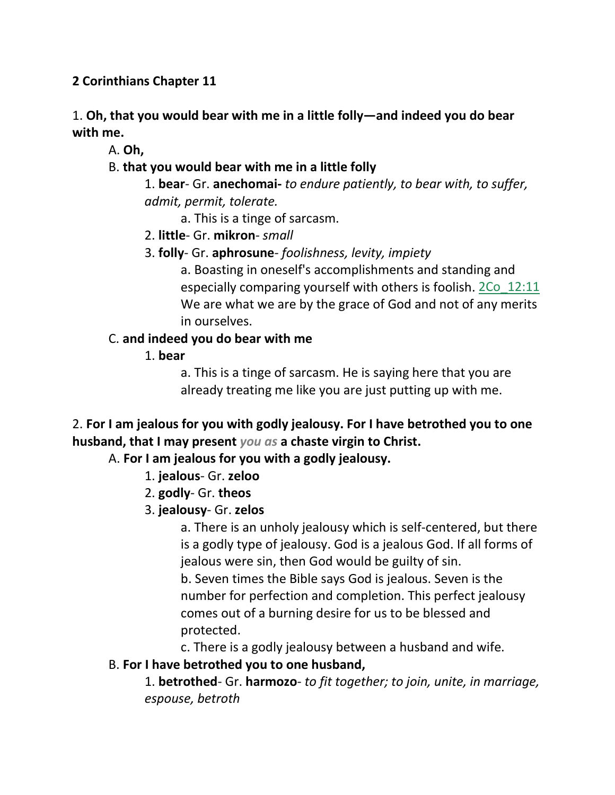**2 Corinthians Chapter 11**

1. **Oh, that you would bear with me in a little folly—and indeed you do bear with me.** 

A. **Oh,**

# B. **that you would bear with me in a little folly**

1. **bear**- Gr. **anechomai-** *to endure patiently, to bear with, to suffer, admit, permit, tolerate.*

a. This is a tinge of sarcasm.

- 2. **little** Gr. **mikron** *small*
- 3. **folly** Gr. **aphrosune** *foolishness, levity, impiety*

a. Boasting in oneself's accomplishments and standing and especially comparing yourself with others is foolish. 2Co\_12:11 We are what we are by the grace of God and not of any merits in ourselves.

# C. **and indeed you do bear with me**

1. **bear**

a. This is a tinge of sarcasm. He is saying here that you are already treating me like you are just putting up with me.

2. **For I am jealous for you with godly jealousy. For I have betrothed you to one husband, that I may present** *you as* **a chaste virgin to Christ.** 

# A. **For I am jealous for you with a godly jealousy.**

- 1. **jealous** Gr. **zeloo**
- 2. **godly** Gr. **theos**
- 3. **jealousy** Gr. **zelos**

a. There is an unholy jealousy which is self-centered, but there is a godly type of jealousy. God is a jealous God. If all forms of jealous were sin, then God would be guilty of sin.

b. Seven times the Bible says God is jealous. Seven is the number for perfection and completion. This perfect jealousy comes out of a burning desire for us to be blessed and protected.

c. There is a godly jealousy between a husband and wife.

# B. **For I have betrothed you to one husband,**

1. **betrothed**- Gr. **harmozo**- *to fit together; to join, unite, in marriage, espouse, betroth*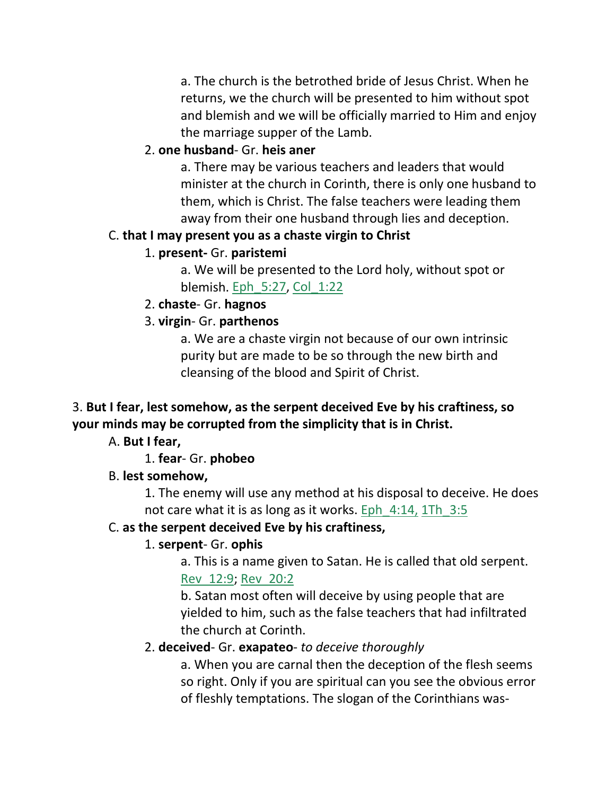a. The church is the betrothed bride of Jesus Christ. When he returns, we the church will be presented to him without spot and blemish and we will be officially married to Him and enjoy the marriage supper of the Lamb.

### 2. **one husband**- Gr. **heis aner**

a. There may be various teachers and leaders that would minister at the church in Corinth, there is only one husband to them, which is Christ. The false teachers were leading them away from their one husband through lies and deception.

### C. **that I may present you as a chaste virgin to Christ**

#### 1. **present-** Gr. **paristemi**

a. We will be presented to the Lord holy, without spot or blemish. Eph\_5:27, Col\_1:22

2. **chaste**- Gr. **hagnos**

### 3. **virgin**- Gr. **parthenos**

a. We are a chaste virgin not because of our own intrinsic purity but are made to be so through the new birth and cleansing of the blood and Spirit of Christ.

# 3. **But I fear, lest somehow, as the serpent deceived Eve by his craftiness, so your minds may be corrupted from the simplicity that is in Christ.**

A. **But I fear,**

1. **fear**- Gr. **phobeo**

#### B. **lest somehow,**

1. The enemy will use any method at his disposal to deceive. He does not care what it is as long as it works. Eph 4:14, 1Th 3:5

### C. **as the serpent deceived Eve by his craftiness,**

#### 1. **serpent**- Gr. **ophis**

a. This is a name given to Satan. He is called that old serpent. Rev\_12:9; Rev\_20:2

b. Satan most often will deceive by using people that are yielded to him, such as the false teachers that had infiltrated the church at Corinth.

#### 2. **deceived**- Gr. **exapateo**- *to deceive thoroughly*

a. When you are carnal then the deception of the flesh seems so right. Only if you are spiritual can you see the obvious error of fleshly temptations. The slogan of the Corinthians was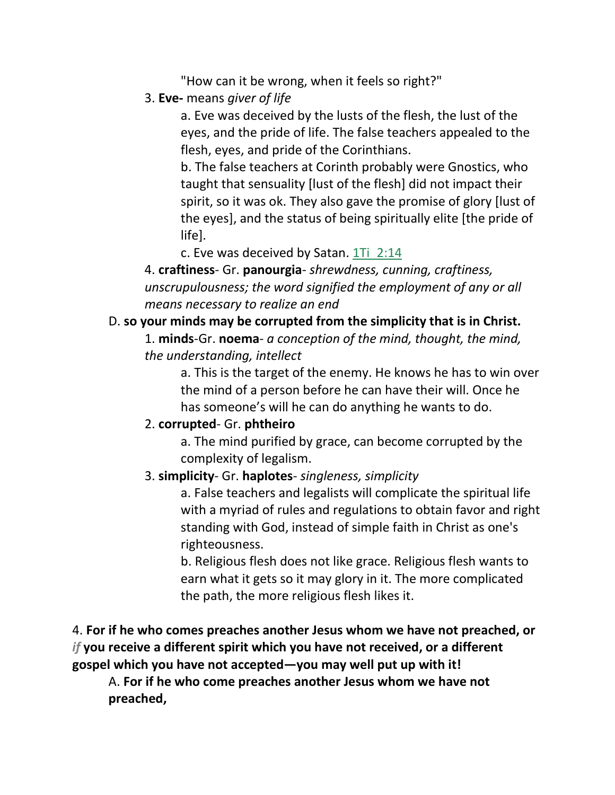"How can it be wrong, when it feels so right?"

3. **Eve-** means *giver of life*

a. Eve was deceived by the lusts of the flesh, the lust of the eyes, and the pride of life. The false teachers appealed to the flesh, eyes, and pride of the Corinthians.

b. The false teachers at Corinth probably were Gnostics, who taught that sensuality [lust of the flesh] did not impact their spirit, so it was ok. They also gave the promise of glory [lust of the eyes], and the status of being spiritually elite [the pride of life].

c. Eve was deceived by Satan. 1Ti 2:14

4. **craftiness**- Gr. **panourgia**- *shrewdness, cunning, craftiness, unscrupulousness; the word signified the employment of any or all means necessary to realize an end*

D. **so your minds may be corrupted from the simplicity that is in Christ.** 

1. **minds**-Gr. **noema**- *a conception of the mind, thought, the mind, the understanding, intellect*

a. This is the target of the enemy. He knows he has to win over the mind of a person before he can have their will. Once he has someone's will he can do anything he wants to do.

# 2. **corrupted**- Gr. **phtheiro**

a. The mind purified by grace, can become corrupted by the complexity of legalism.

# 3. **simplicity**- Gr. **haplotes**- *singleness, simplicity*

a. False teachers and legalists will complicate the spiritual life with a myriad of rules and regulations to obtain favor and right standing with God, instead of simple faith in Christ as one's righteousness.

b. Religious flesh does not like grace. Religious flesh wants to earn what it gets so it may glory in it. The more complicated the path, the more religious flesh likes it.

4. **For if he who comes preaches another Jesus whom we have not preached, or**  *if* **you receive a different spirit which you have not received, or a different gospel which you have not accepted—you may well put up with it!** 

A. **For if he who come preaches another Jesus whom we have not preached,**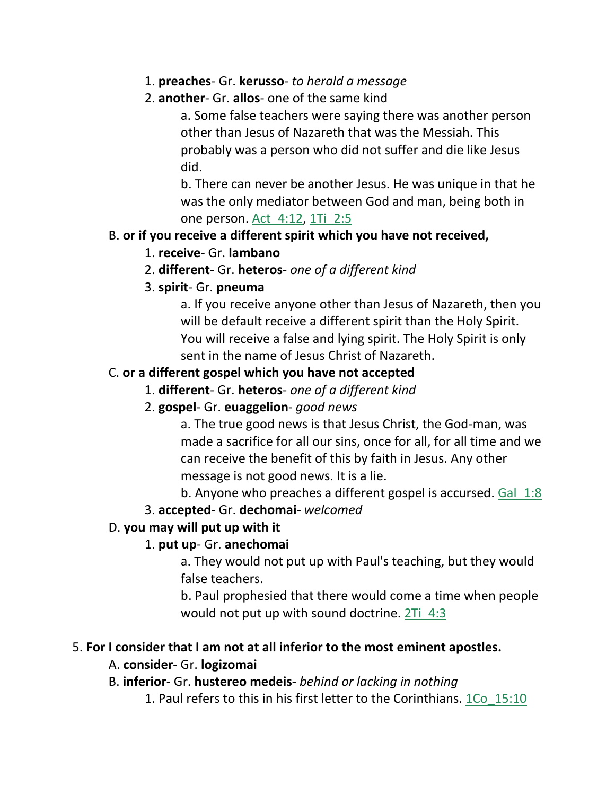- 1. **preaches** Gr. **kerusso** *to herald a message*
- 2. **another** Gr. **allos** one of the same kind

a. Some false teachers were saying there was another person other than Jesus of Nazareth that was the Messiah. This probably was a person who did not suffer and die like Jesus did.

b. There can never be another Jesus. He was unique in that he was the only mediator between God and man, being both in one person. Act\_4:12, 1Ti\_2:5

### B. **or if you receive a different spirit which you have not received,**

1. **receive**- Gr. **lambano**

#### 2. **different**- Gr. **heteros**- *one of a different kind*

3. **spirit**- Gr. **pneuma**

a. If you receive anyone other than Jesus of Nazareth, then you will be default receive a different spirit than the Holy Spirit. You will receive a false and lying spirit. The Holy Spirit is only sent in the name of Jesus Christ of Nazareth.

#### C. **or a different gospel which you have not accepted**

1. **different**- Gr. **heteros**- *one of a different kind*

#### 2. **gospel**- Gr. **euaggelion**- *good news*

a. The true good news is that Jesus Christ, the God-man, was made a sacrifice for all our sins, once for all, for all time and we can receive the benefit of this by faith in Jesus. Any other message is not good news. It is a lie.

b. Anyone who preaches a different gospel is accursed. Gal 1:8

### 3. **accepted**- Gr. **dechomai**- *welcomed*

### D. **you may will put up with it**

### 1. **put up**- Gr. **anechomai**

a. They would not put up with Paul's teaching, but they would false teachers.

b. Paul prophesied that there would come a time when people would not put up with sound doctrine. 2Ti 4:3

#### 5. **For I consider that I am not at all inferior to the most eminent apostles.**

#### A. **consider**- Gr. **logizomai**

### B. **inferior**- Gr. **hustereo medeis**- *behind or lacking in nothing*

1. Paul refers to this in his first letter to the Corinthians. 1Co\_15:10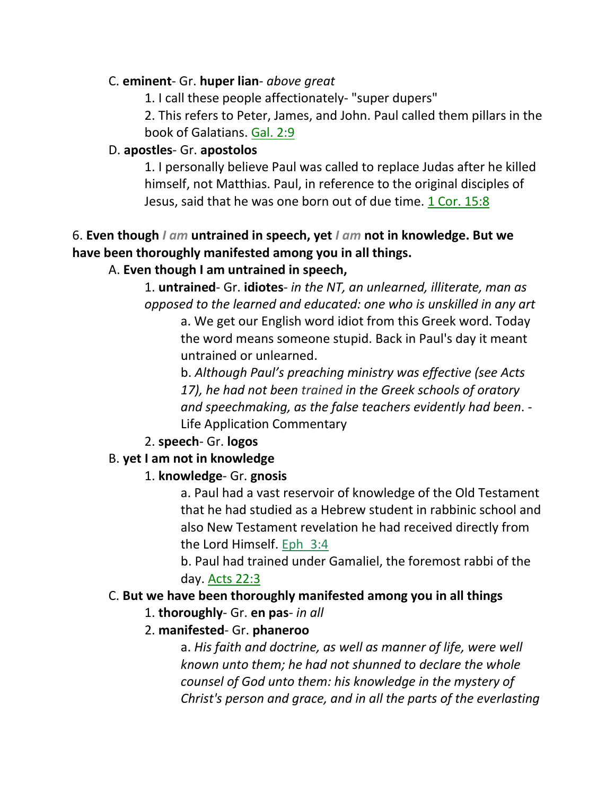#### C. **eminent**- Gr. **huper lian**- *above great*

1. I call these people affectionately- "super dupers"

2. This refers to Peter, James, and John. Paul called them pillars in the book of Galatians. Gal. 2:9

#### D. **apostles**- Gr. **apostolos**

1. I personally believe Paul was called to replace Judas after he killed himself, not Matthias. Paul, in reference to the original disciples of Jesus, said that he was one born out of due time. 1 Cor. 15:8

# 6. **Even though** *I am* **untrained in speech, yet** *I am* **not in knowledge. But we have been thoroughly manifested among you in all things.**

### A. **Even though I am untrained in speech,**

1. **untrained**- Gr. **idiotes**- *in the NT, an unlearned, illiterate, man as opposed to the learned and educated: one who is unskilled in any art*

a. We get our English word idiot from this Greek word. Today the word means someone stupid. Back in Paul's day it meant untrained or unlearned.

b. *Although Paul's preaching ministry was effective (see Acts 17), he had not been trained in the Greek schools of oratory and speechmaking, as the false teachers evidently had been*. - Life Application Commentary

### 2. **speech**- Gr. **logos**

# B. **yet I am not in knowledge**

# 1. **knowledge**- Gr. **gnosis**

a. Paul had a vast reservoir of knowledge of the Old Testament that he had studied as a Hebrew student in rabbinic school and also New Testament revelation he had received directly from the Lord Himself. Eph\_3:4

b. Paul had trained under Gamaliel, the foremost rabbi of the day. Acts 22:3

### C. **But we have been thoroughly manifested among you in all things**

### 1. **thoroughly**- Gr. **en pas**- *in all*

# 2. **manifested**- Gr. **phaneroo**

a. *His faith and doctrine, as well as manner of life, were well known unto them; he had not shunned to declare the whole counsel of God unto them: his knowledge in the mystery of Christ's person and grace, and in all the parts of the everlasting*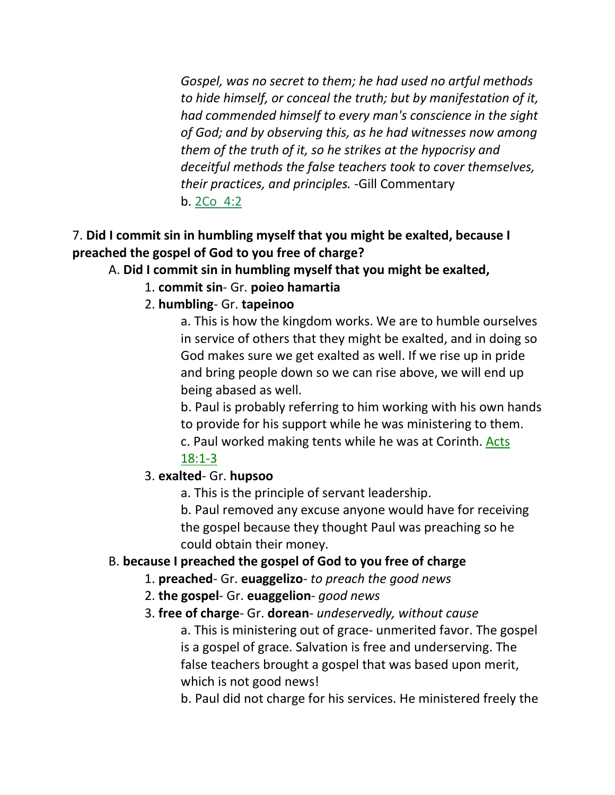*Gospel, was no secret to them; he had used no artful methods to hide himself, or conceal the truth; but by manifestation of it, had commended himself to every man's conscience in the sight of God; and by observing this, as he had witnesses now among them of the truth of it, so he strikes at the hypocrisy and deceitful methods the false teachers took to cover themselves, their practices, and principles.* -Gill Commentary b. 2Co\_4:2

# 7. **Did I commit sin in humbling myself that you might be exalted, because I preached the gospel of God to you free of charge?**

# A. **Did I commit sin in humbling myself that you might be exalted,**

1. **commit sin**- Gr. **poieo hamartia**

# 2. **humbling**- Gr. **tapeinoo**

a. This is how the kingdom works. We are to humble ourselves in service of others that they might be exalted, and in doing so God makes sure we get exalted as well. If we rise up in pride and bring people down so we can rise above, we will end up being abased as well.

b. Paul is probably referring to him working with his own hands to provide for his support while he was ministering to them.

c. Paul worked making tents while he was at Corinth. Acts

### 18:1-3

# 3. **exalted**- Gr. **hupsoo**

a. This is the principle of servant leadership.

b. Paul removed any excuse anyone would have for receiving the gospel because they thought Paul was preaching so he could obtain their money.

### B. **because I preached the gospel of God to you free of charge**

- 1. **preached** Gr. **euaggelizo** *to preach the good news*
- 2. **the gospel** Gr. **euaggelion** *good news*

# 3. **free of charge**- Gr. **dorean**- *undeservedly, without cause*

a. This is ministering out of grace- unmerited favor. The gospel is a gospel of grace. Salvation is free and underserving. The false teachers brought a gospel that was based upon merit, which is not good news!

b. Paul did not charge for his services. He ministered freely the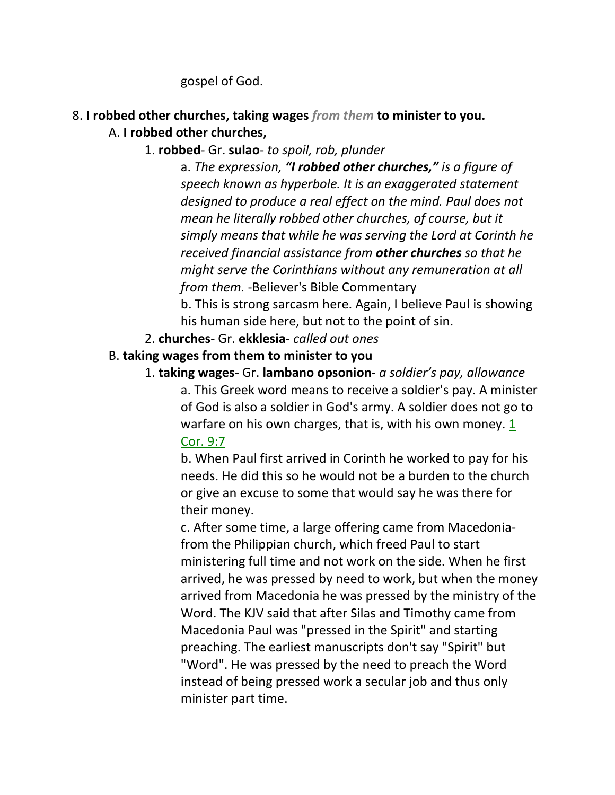gospel of God.

#### 8. **I robbed other churches, taking wages** *from them* **to minister to you.**

#### A. **I robbed other churches,**

#### 1. **robbed**- Gr. **sulao**- *to spoil, rob, plunder*

a. *The expression, "I robbed other churches," is a figure of speech known as hyperbole. It is an exaggerated statement designed to produce a real effect on the mind. Paul does not mean he literally robbed other churches, of course, but it simply means that while he was serving the Lord at Corinth he received financial assistance from other churches so that he might serve the Corinthians without any remuneration at all from them.* -Believer's Bible Commentary

b. This is strong sarcasm here. Again, I believe Paul is showing his human side here, but not to the point of sin.

2. **churches**- Gr. **ekklesia**- *called out ones*

#### B. **taking wages from them to minister to you**

1. **taking wages**- Gr. **lambano opsonion**- *a soldier's pay, allowance* a. This Greek word means to receive a soldier's pay. A minister of God is also a soldier in God's army. A soldier does not go to warfare on his own charges, that is, with his own money.  $1$ Cor. 9:7

b. When Paul first arrived in Corinth he worked to pay for his needs. He did this so he would not be a burden to the church or give an excuse to some that would say he was there for their money.

c. After some time, a large offering came from Macedoniafrom the Philippian church, which freed Paul to start ministering full time and not work on the side. When he first arrived, he was pressed by need to work, but when the money arrived from Macedonia he was pressed by the ministry of the Word. The KJV said that after Silas and Timothy came from Macedonia Paul was "pressed in the Spirit" and starting preaching. The earliest manuscripts don't say "Spirit" but "Word". He was pressed by the need to preach the Word instead of being pressed work a secular job and thus only minister part time.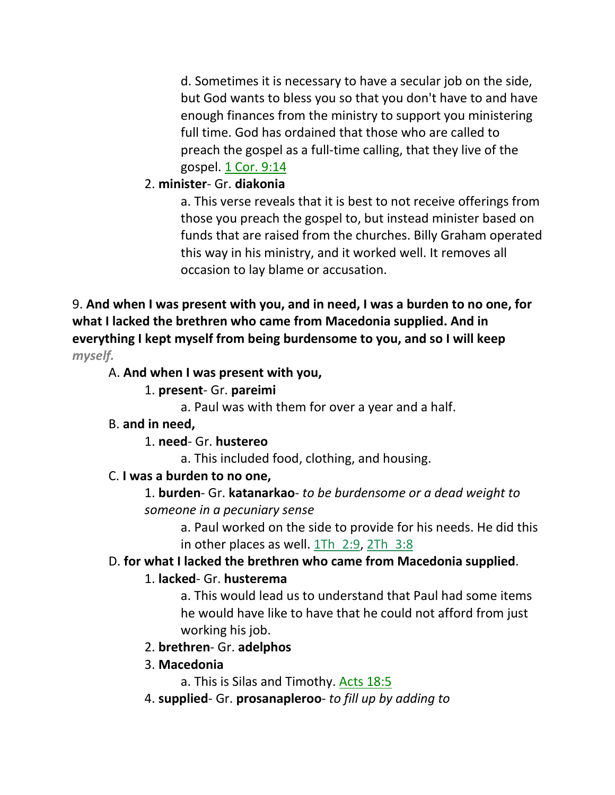d. Sometimes it is necessary to have a secular job on the side, but God wants to bless you so that you don't have to and have enough finances from the ministry to support you ministering full time. God has ordained that those who are called to preach the gospel as a full-time calling, that they live of the gospel. 1 Cor. 9:14

### 2. **minister**- Gr. **diakonia**

a. This verse reveals that it is best to not receive offerings from those you preach the gospel to, but instead minister based on funds that are raised from the churches. Billy Graham operated this way in his ministry, and it worked well. It removes all occasion to lay blame or accusation.

9. **And when I was present with you, and in need, I was a burden to no one, for what I lacked the brethren who came from Macedonia supplied. And in everything I kept myself from being burdensome to you, and so I will keep**  *myself.*

### A. **And when I was present with you,**

#### 1. **present**- Gr. **pareimi**

a. Paul was with them for over a year and a half.

#### B. **and in need,**

### 1. **need**- Gr. **hustereo**

a. This included food, clothing, and housing.

### C. **I was a burden to no one,**

1. **burden**- Gr. **katanarkao**- *to be burdensome or a dead weight to someone in a pecuniary sense*

a. Paul worked on the side to provide for his needs. He did this in other places as well. 1Th 2:9, 2Th 3:8

### D. **for what I lacked the brethren who came from Macedonia supplied**.

### 1. **lacked**- Gr. **husterema**

a. This would lead us to understand that Paul had some items he would have like to have that he could not afford from just working his job.

### 2. **brethren**- Gr. **adelphos**

### 3. **Macedonia**

a. This is Silas and Timothy. Acts 18:5

4. **supplied**- Gr. **prosanapleroo**- *to fill up by adding to*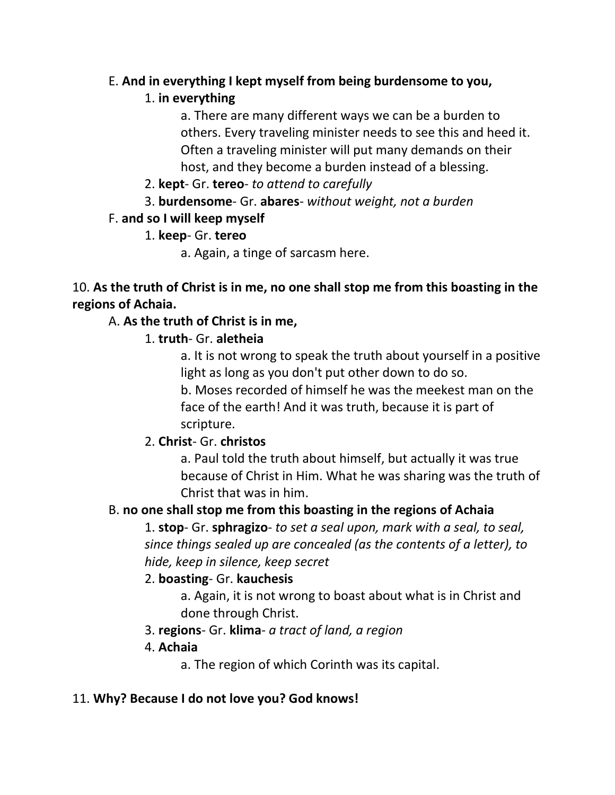# E. **And in everything I kept myself from being burdensome to you,**

# 1. **in everything**

a. There are many different ways we can be a burden to others. Every traveling minister needs to see this and heed it. Often a traveling minister will put many demands on their host, and they become a burden instead of a blessing.

2. **kept**- Gr. **tereo**- *to attend to carefully*

# 3. **burdensome**- Gr. **abares**- *without weight, not a burden*

# F. **and so I will keep myself**

# 1. **keep**- Gr. **tereo**

a. Again, a tinge of sarcasm here.

# 10. **As the truth of Christ is in me, no one shall stop me from this boasting in the regions of Achaia.**

# A. **As the truth of Christ is in me,**

# 1. **truth**- Gr. **aletheia**

a. It is not wrong to speak the truth about yourself in a positive light as long as you don't put other down to do so.

b. Moses recorded of himself he was the meekest man on the face of the earth! And it was truth, because it is part of scripture.

# 2. **Christ**- Gr. **christos**

a. Paul told the truth about himself, but actually it was true because of Christ in Him. What he was sharing was the truth of Christ that was in him.

# B. **no one shall stop me from this boasting in the regions of Achaia**

1. **stop**- Gr. **sphragizo**- *to set a seal upon, mark with a seal, to seal, since things sealed up are concealed (as the contents of a letter), to hide, keep in silence, keep secret*

# 2. **boasting**- Gr. **kauchesis**

a. Again, it is not wrong to boast about what is in Christ and done through Christ.

# 3. **regions**- Gr. **klima**- *a tract of land, a region*

# 4. **Achaia**

a. The region of which Corinth was its capital.

# 11. **Why? Because I do not love you? God knows!**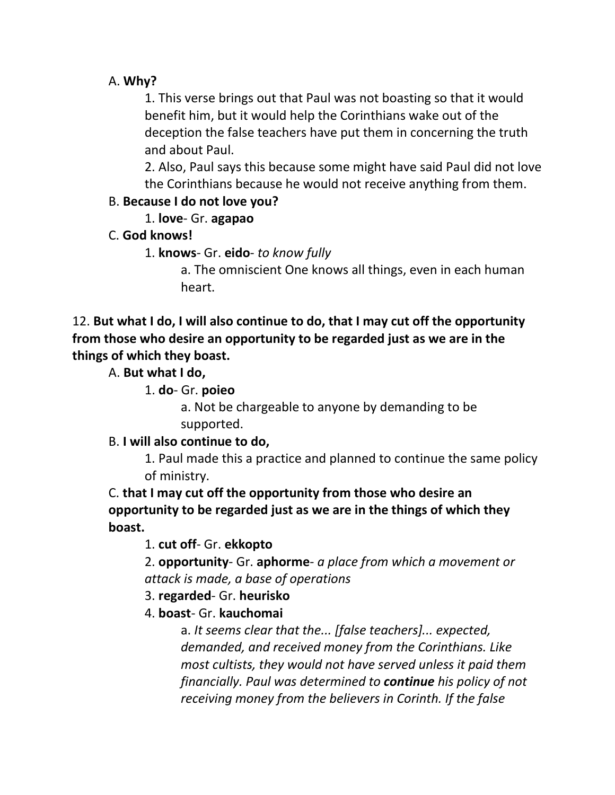## A. **Why?**

1. This verse brings out that Paul was not boasting so that it would benefit him, but it would help the Corinthians wake out of the deception the false teachers have put them in concerning the truth and about Paul.

2. Also, Paul says this because some might have said Paul did not love the Corinthians because he would not receive anything from them.

### B. **Because I do not love you?**

1. **love**- Gr. **agapao**

# C. **God knows!**

1. **knows**- Gr. **eido**- *to know fully*

a. The omniscient One knows all things, even in each human heart.

12. **But what I do, I will also continue to do, that I may cut off the opportunity from those who desire an opportunity to be regarded just as we are in the things of which they boast.** 

A. **But what I do,**

1. **do**- Gr. **poieo**

a. Not be chargeable to anyone by demanding to be supported.

# B. **I will also continue to do,**

1. Paul made this a practice and planned to continue the same policy of ministry.

C. **that I may cut off the opportunity from those who desire an opportunity to be regarded just as we are in the things of which they boast.**

1. **cut off**- Gr. **ekkopto**

2. **opportunity**- Gr. **aphorme**- *a place from which a movement or attack is made, a base of operations*

3. **regarded**- Gr. **heurisko**

4. **boast**- Gr. **kauchomai**

a. *It seems clear that the... [false teachers]... expected, demanded, and received money from the Corinthians. Like most cultists, they would not have served unless it paid them financially. Paul was determined to continue his policy of not receiving money from the believers in Corinth. If the false*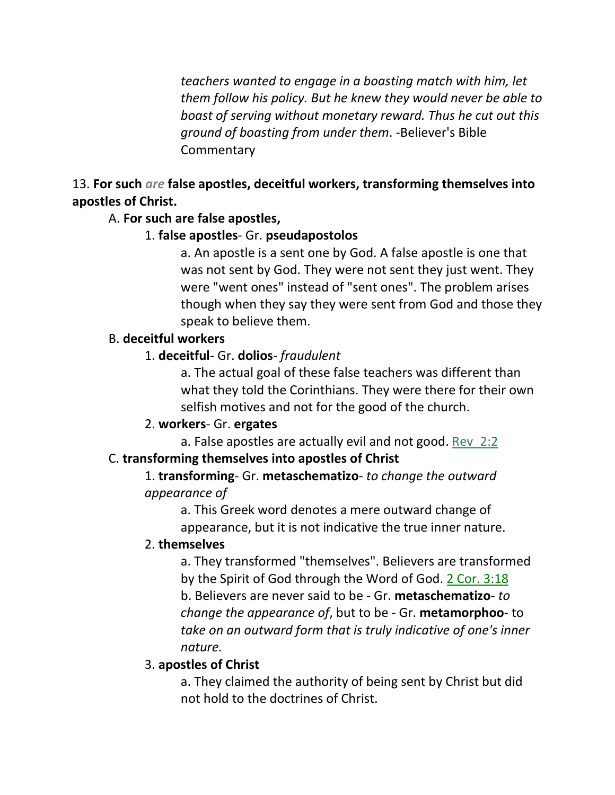*teachers wanted to engage in a boasting match with him, let them follow his policy. But he knew they would never be able to boast of serving without monetary reward. Thus he cut out this ground of boasting from under them*. -Believer's Bible **Commentary** 

13. **For such** *are* **false apostles, deceitful workers, transforming themselves into apostles of Christ.** 

#### A. **For such are false apostles,**

#### 1. **false apostles**- Gr. **pseudapostolos**

a. An apostle is a sent one by God. A false apostle is one that was not sent by God. They were not sent they just went. They were "went ones" instead of "sent ones". The problem arises though when they say they were sent from God and those they speak to believe them.

#### B. **deceitful workers**

#### 1. **deceitful**- Gr. **dolios**- *fraudulent*

a. The actual goal of these false teachers was different than what they told the Corinthians. They were there for their own selfish motives and not for the good of the church.

#### 2. **workers**- Gr. **ergates**

a. False apostles are actually evil and not good. Rev\_2:2

#### C. **transforming themselves into apostles of Christ**

1. **transforming**- Gr. **metaschematizo**- *to change the outward appearance of*

a. This Greek word denotes a mere outward change of appearance, but it is not indicative the true inner nature.

#### 2. **themselves**

a. They transformed "themselves". Believers are transformed by the Spirit of God through the Word of God. 2 Cor. 3:18 b. Believers are never said to be - Gr. **metaschematizo**- *to change the appearance of*, but to be - Gr. **metamorphoo**- to *take on an outward form that is truly indicative of one's inner nature.*

#### 3. **apostles of Christ**

a. They claimed the authority of being sent by Christ but did not hold to the doctrines of Christ.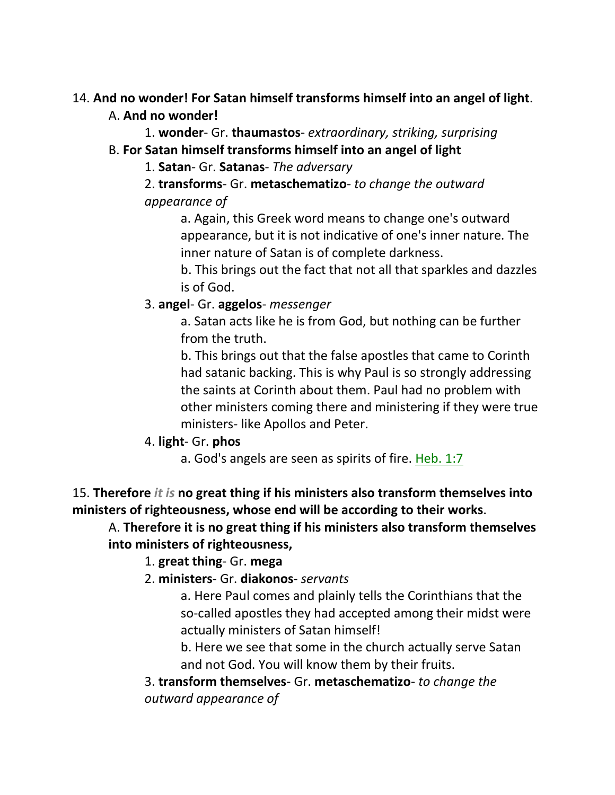# 14. **And no wonder! For Satan himself transforms himself into an angel of light**.

# A. **And no wonder!**

1. **wonder**- Gr. **thaumastos**- *extraordinary, striking, surprising*

# B. **For Satan himself transforms himself into an angel of light**

1. **Satan**- Gr. **Satanas**- *The adversary*

2. **transforms**- Gr. **metaschematizo**- *to change the outward* 

# *appearance of*

a. Again, this Greek word means to change one's outward appearance, but it is not indicative of one's inner nature. The inner nature of Satan is of complete darkness.

b. This brings out the fact that not all that sparkles and dazzles is of God.

# 3. **angel**- Gr. **aggelos**- *messenger*

a. Satan acts like he is from God, but nothing can be further from the truth.

b. This brings out that the false apostles that came to Corinth had satanic backing. This is why Paul is so strongly addressing the saints at Corinth about them. Paul had no problem with other ministers coming there and ministering if they were true ministers- like Apollos and Peter.

# 4. **light**- Gr. **phos**

a. God's angels are seen as spirits of fire. Heb. 1:7

15. **Therefore** *it is* **no great thing if his ministers also transform themselves into ministers of righteousness, whose end will be according to their works**.

A. **Therefore it is no great thing if his ministers also transform themselves into ministers of righteousness,**

# 1. **great thing**- Gr. **mega**

# 2. **ministers**- Gr. **diakonos**- *servants*

a. Here Paul comes and plainly tells the Corinthians that the so-called apostles they had accepted among their midst were actually ministers of Satan himself!

b. Here we see that some in the church actually serve Satan and not God. You will know them by their fruits.

3. **transform themselves**- Gr. **metaschematizo**- *to change the outward appearance of*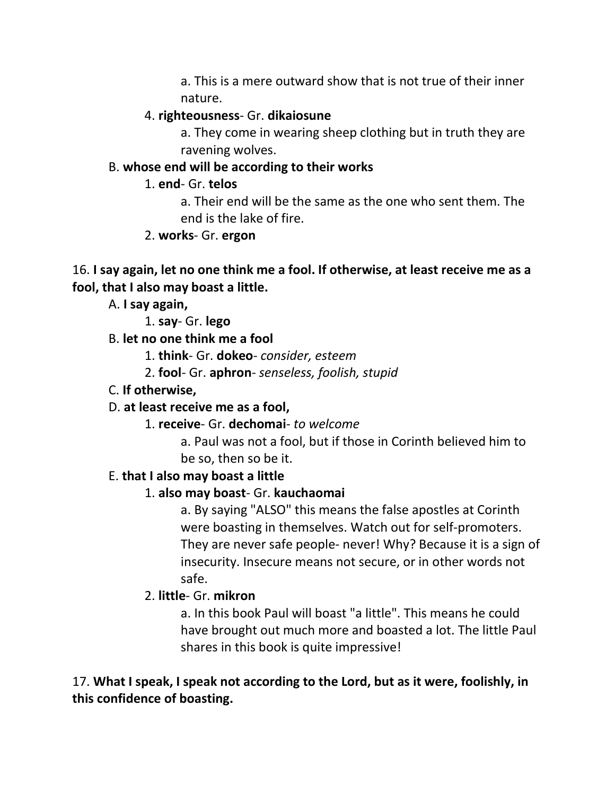a. This is a mere outward show that is not true of their inner nature.

#### 4. **righteousness**- Gr. **dikaiosune**

a. They come in wearing sheep clothing but in truth they are ravening wolves.

#### B. **whose end will be according to their works**

1. **end**- Gr. **telos**

a. Their end will be the same as the one who sent them. The end is the lake of fire.

2. **works**- Gr. **ergon**

#### 16. **I say again, let no one think me a fool. If otherwise, at least receive me as a fool, that I also may boast a little.**

A. **I say again,**

1. **say**- Gr. **lego**

### B. **let no one think me a fool**

1. **think**- Gr. **dokeo**- *consider, esteem*

- 2. **fool** Gr. **aphron** *senseless, foolish, stupid*
- C. **If otherwise,**

### D. **at least receive me as a fool,**

1. **receive**- Gr. **dechomai**- *to welcome*

a. Paul was not a fool, but if those in Corinth believed him to be so, then so be it.

### E. **that I also may boast a little**

#### 1. **also may boast**- Gr. **kauchaomai**

a. By saying "ALSO" this means the false apostles at Corinth were boasting in themselves. Watch out for self-promoters. They are never safe people- never! Why? Because it is a sign of insecurity. Insecure means not secure, or in other words not safe.

### 2. **little**- Gr. **mikron**

a. In this book Paul will boast "a little". This means he could have brought out much more and boasted a lot. The little Paul shares in this book is quite impressive!

17. **What I speak, I speak not according to the Lord, but as it were, foolishly, in this confidence of boasting.**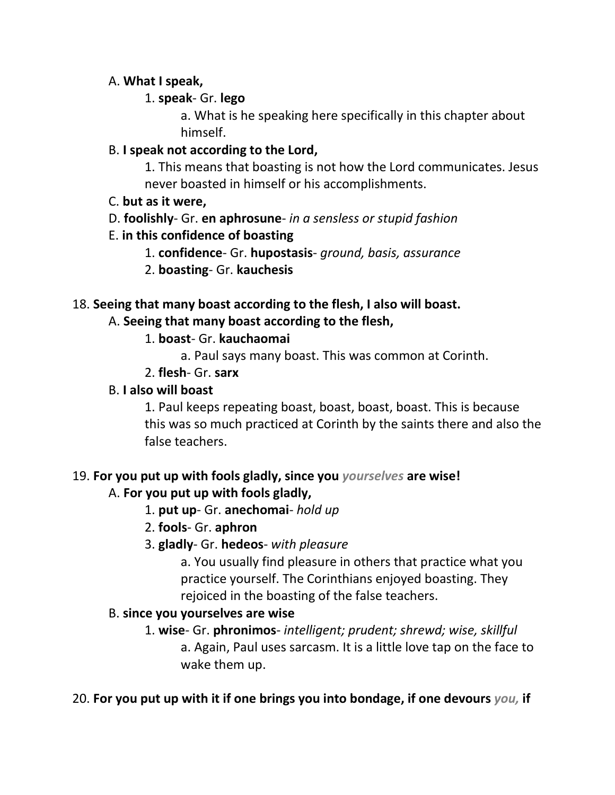#### A. **What I speak,**

1. **speak**- Gr. **lego**

a. What is he speaking here specifically in this chapter about himself.

#### B. **I speak not according to the Lord,**

1. This means that boasting is not how the Lord communicates. Jesus never boasted in himself or his accomplishments.

### C. **but as it were,**

- D. **foolishly** Gr. **en aphrosune** *in a sensless or stupid fashion*
- E. **in this confidence of boasting**
	- 1. **confidence** Gr. **hupostasis** *ground, basis, assurance*
	- 2. **boasting** Gr. **kauchesis**

# 18. **Seeing that many boast according to the flesh, I also will boast.**

### A. **Seeing that many boast according to the flesh,**

# 1. **boast**- Gr. **kauchaomai**

- a. Paul says many boast. This was common at Corinth.
- 2. **flesh** Gr. **sarx**

# B. **I also will boast**

1. Paul keeps repeating boast, boast, boast, boast. This is because this was so much practiced at Corinth by the saints there and also the false teachers.

# 19. **For you put up with fools gladly, since you** *yourselves* **are wise!**

# A. **For you put up with fools gladly,**

- 1. **put up** Gr. **anechomai** *hold up*
- 2. **fools** Gr. **aphron**
- 3. **gladly** Gr. **hedeos** *with pleasure*

a. You usually find pleasure in others that practice what you practice yourself. The Corinthians enjoyed boasting. They rejoiced in the boasting of the false teachers.

### B. **since you yourselves are wise**

1. **wise**- Gr. **phronimos**- *intelligent; prudent; shrewd; wise, skillful* a. Again, Paul uses sarcasm. It is a little love tap on the face to wake them up.

### 20. **For you put up with it if one brings you into bondage, if one devours** *you,* **if**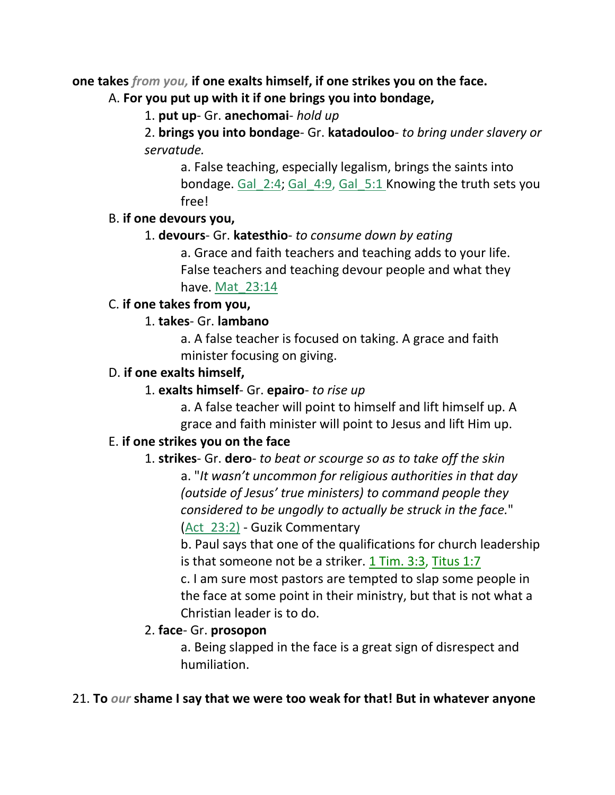**one takes** *from you,* **if one exalts himself, if one strikes you on the face.** 

## A. **For you put up with it if one brings you into bondage,**

1. **put up**- Gr. **anechomai**- *hold up*

2. **brings you into bondage**- Gr. **katadouloo**- *to bring under slavery or servatude.* 

a. False teaching, especially legalism, brings the saints into bondage. Gal\_2:4; Gal\_4:9, Gal\_5:1 Knowing the truth sets you free!

# B. **if one devours you,**

1. **devours**- Gr. **katesthio**- *to consume down by eating*

a. Grace and faith teachers and teaching adds to your life. False teachers and teaching devour people and what they have. Mat\_23:14

# C. **if one takes from you,**

# 1. **takes**- Gr. **lambano**

a. A false teacher is focused on taking. A grace and faith minister focusing on giving.

# D. **if one exalts himself,**

# 1. **exalts himself**- Gr. **epairo**- *to rise up*

a. A false teacher will point to himself and lift himself up. A grace and faith minister will point to Jesus and lift Him up.

# E. **if one strikes you on the face**

### 1. **strikes**- Gr. **dero**- *to beat or scourge so as to take off the skin*

a. "*It wasn't uncommon for religious authorities in that day (outside of Jesus' true ministers) to command people they considered to be ungodly to actually be struck in the face.*" (Act\_23:2) - Guzik Commentary

b. Paul says that one of the qualifications for church leadership is that someone not be a striker. 1 Tim. 3:3, Titus 1:7

c. I am sure most pastors are tempted to slap some people in the face at some point in their ministry, but that is not what a Christian leader is to do.

# 2. **face**- Gr. **prosopon**

a. Being slapped in the face is a great sign of disrespect and humiliation.

### 21. **To** *our* **shame I say that we were too weak for that! But in whatever anyone**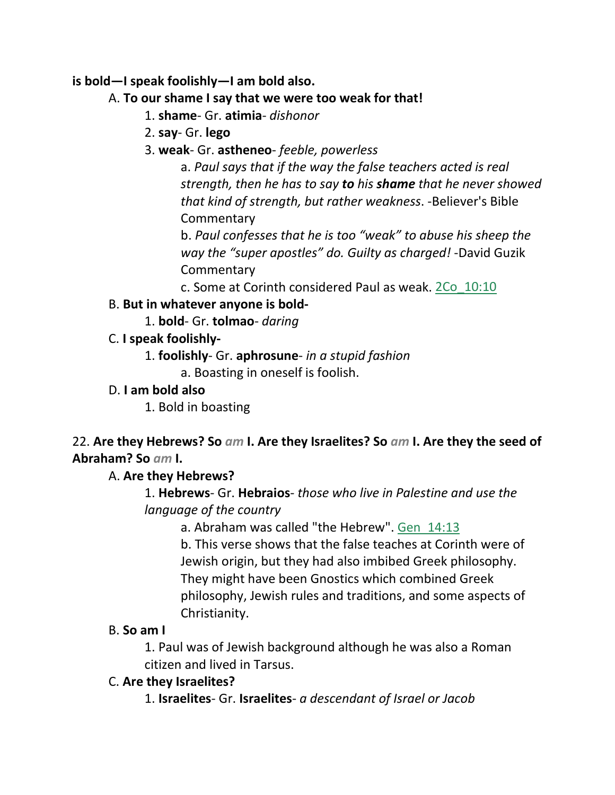#### **is bold—I speak foolishly—I am bold also.**

#### A. **To our shame I say that we were too weak for that!**

- 1. **shame** Gr. **atimia** *dishonor*
- 2. **say** Gr. **lego**
- 3. **weak** Gr. **astheneo** *feeble, powerless*

a. *Paul says that if the way the false teachers acted is real strength, then he has to say to his shame that he never showed that kind of strength, but rather weakness*. -Believer's Bible **Commentary** 

b. *Paul confesses that he is too "weak" to abuse his sheep the way the "super apostles" do. Guilty as charged!* -David Guzik **Commentary** 

c. Some at Corinth considered Paul as weak. 2Co\_10:10

### B. **But in whatever anyone is bold-**

- 1. **bold** Gr. **tolmao** *daring*
- C. **I speak foolishly-**
	- 1. **foolishly** Gr. **aphrosune** *in a stupid fashion*
		- a. Boasting in oneself is foolish.
- D. **I am bold also**
	- 1. Bold in boasting

22. **Are they Hebrews? So** *am* **I. Are they Israelites? So** *am* **I. Are they the seed of Abraham? So** *am* **I.** 

### A. **Are they Hebrews?**

1. **Hebrews**- Gr. **Hebraios**- *those who live in Palestine and use the language of the country*

a. Abraham was called "the Hebrew". Gen\_14:13

b. This verse shows that the false teaches at Corinth were of Jewish origin, but they had also imbibed Greek philosophy. They might have been Gnostics which combined Greek philosophy, Jewish rules and traditions, and some aspects of Christianity.

### B. **So am I**

1. Paul was of Jewish background although he was also a Roman citizen and lived in Tarsus.

#### C. **Are they Israelites?**

1. **Israelites**- Gr. **Israelites**- *a descendant of Israel or Jacob*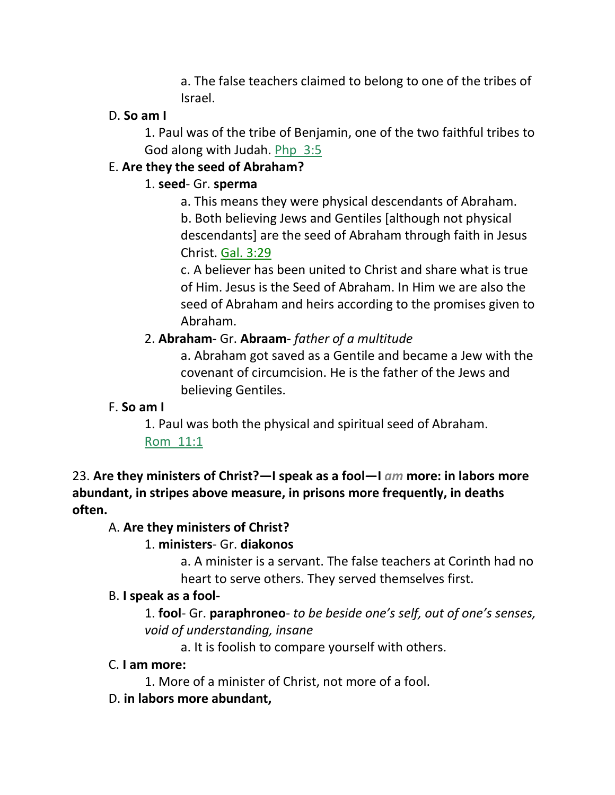a. The false teachers claimed to belong to one of the tribes of Israel.

#### D. **So am I**

1. Paul was of the tribe of Benjamin, one of the two faithful tribes to God along with Judah. Php\_3:5

#### E. **Are they the seed of Abraham?**

#### 1. **seed**- Gr. **sperma**

a. This means they were physical descendants of Abraham. b. Both believing Jews and Gentiles [although not physical descendants] are the seed of Abraham through faith in Jesus Christ. Gal. 3:29

c. A believer has been united to Christ and share what is true of Him. Jesus is the Seed of Abraham. In Him we are also the seed of Abraham and heirs according to the promises given to Abraham.

## 2. **Abraham**- Gr. **Abraam**- *father of a multitude*

a. Abraham got saved as a Gentile and became a Jew with the covenant of circumcision. He is the father of the Jews and believing Gentiles.

#### F. **So am I**

1. Paul was both the physical and spiritual seed of Abraham. Rom\_11:1

23. **Are they ministers of Christ?—I speak as a fool—I** *am* **more: in labors more abundant, in stripes above measure, in prisons more frequently, in deaths often.** 

### A. **Are they ministers of Christ?**

### 1. **ministers**- Gr. **diakonos**

a. A minister is a servant. The false teachers at Corinth had no heart to serve others. They served themselves first.

#### B. **I speak as a fool-**

1. **fool**- Gr. **paraphroneo**- *to be beside one's self, out of one's senses, void of understanding, insane*

a. It is foolish to compare yourself with others.

#### C. **I am more:**

1. More of a minister of Christ, not more of a fool.

#### D. **in labors more abundant,**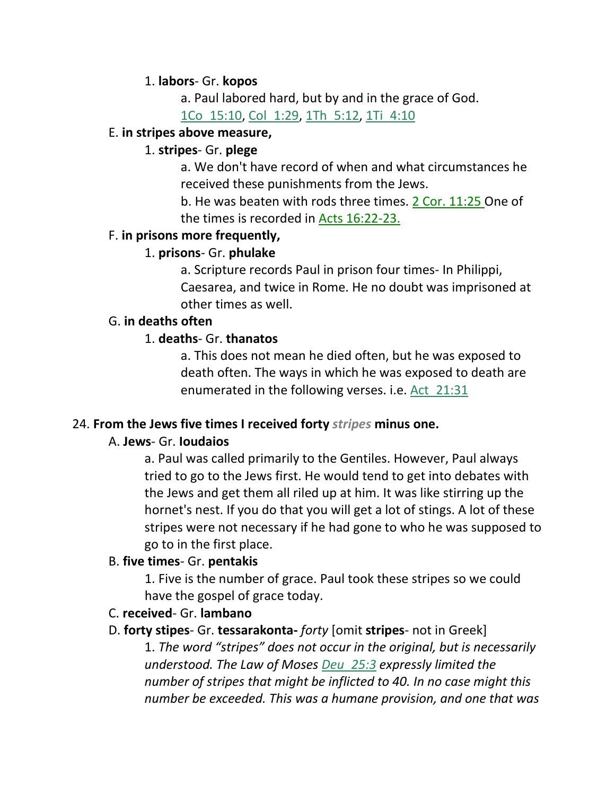#### 1. **labors**- Gr. **kopos**

a. Paul labored hard, but by and in the grace of God.

1Co\_15:10, Col\_1:29, 1Th\_5:12, 1Ti\_4:10

#### E. **in stripes above measure,**

#### 1. **stripes**- Gr. **plege**

a. We don't have record of when and what circumstances he received these punishments from the Jews.

b. He was beaten with rods three times. 2 Cor. 11:25 One of the times is recorded in Acts 16:22-23.

#### F. **in prisons more frequently,**

#### 1. **prisons**- Gr. **phulake**

a. Scripture records Paul in prison four times- In Philippi, Caesarea, and twice in Rome. He no doubt was imprisoned at other times as well.

#### G. **in deaths often**

#### 1. **deaths**- Gr. **thanatos**

a. This does not mean he died often, but he was exposed to death often. The ways in which he was exposed to death are enumerated in the following verses. i.e. Act\_21:31

#### 24. **From the Jews five times I received forty** *stripes* **minus one.**

### A. **Jews**- Gr. **Ioudaios**

a. Paul was called primarily to the Gentiles. However, Paul always tried to go to the Jews first. He would tend to get into debates with the Jews and get them all riled up at him. It was like stirring up the hornet's nest. If you do that you will get a lot of stings. A lot of these stripes were not necessary if he had gone to who he was supposed to go to in the first place.

#### B. **five times**- Gr. **pentakis**

1. Five is the number of grace. Paul took these stripes so we could have the gospel of grace today.

#### C. **received**- Gr. **lambano**

D. **forty stipes**- Gr. **tessarakonta-** *forty* [omit **stripes**- not in Greek]

1. *The word "stripes" does not occur in the original, but is necessarily understood. The Law of Moses Deu\_25:3 expressly limited the number of stripes that might be inflicted to 40. In no case might this number be exceeded. This was a humane provision, and one that was*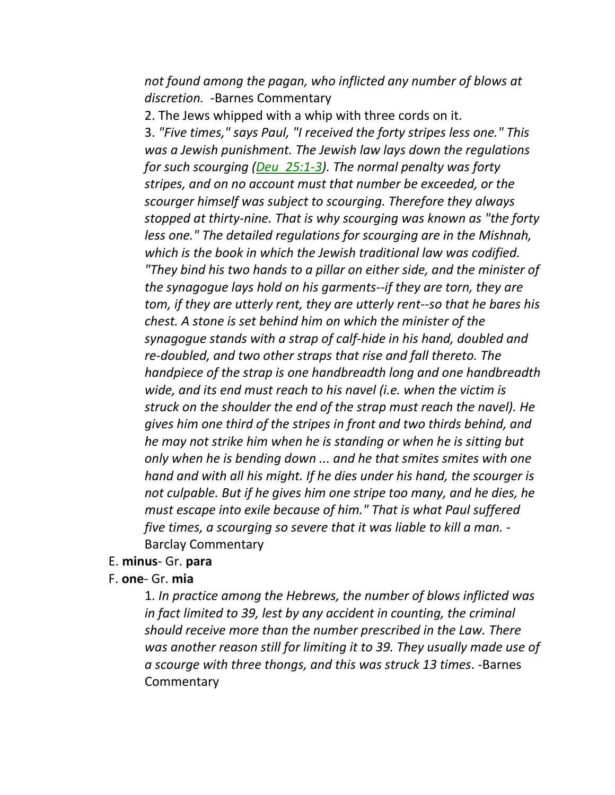*not found among the pagan, who inflicted any number of blows at discretion.* -Barnes Commentary

2. The Jews whipped with a whip with three cords on it.

3. *"Five times," says Paul, "I received the forty stripes less one." This was a Jewish punishment. The Jewish law lays down the regulations for such scourging (Deu\_25:1-3). The normal penalty was forty stripes, and on no account must that number be exceeded, or the scourger himself was subject to scourging. Therefore they always stopped at thirty-nine. That is why scourging was known as "the forty less one." The detailed regulations for scourging are in the Mishnah, which is the book in which the Jewish traditional law was codified. "They bind his two hands to a pillar on either side, and the minister of the synagogue lays hold on his garments--if they are torn, they are tom, if they are utterly rent, they are utterly rent--so that he bares his chest. A stone is set behind him on which the minister of the synagogue stands with a strap of calf-hide in his hand, doubled and re-doubled, and two other straps that rise and fall thereto. The handpiece of the strap is one handbreadth long and one handbreadth wide, and its end must reach to his navel (i.e. when the victim is struck on the shoulder the end of the strap must reach the navel). He gives him one third of the stripes in front and two thirds behind, and he may not strike him when he is standing or when he is sitting but only when he is bending down ... and he that smites smites with one hand and with all his might. If he dies under his hand, the scourger is not culpable. But if he gives him one stripe too many, and he dies, he must escape into exile because of him." That is what Paul suffered five times, a scourging so severe that it was liable to kill a man. -* Barclay Commentary

#### E. **minus**- Gr. **para**

#### F. **one**- Gr. **mia**

1. *In practice among the Hebrews, the number of blows inflicted was in fact limited to 39, lest by any accident in counting, the criminal should receive more than the number prescribed in the Law. There was another reason still for limiting it to 39. They usually made use of a scourge with three thongs, and this was struck 13 times*. -Barnes **Commentary**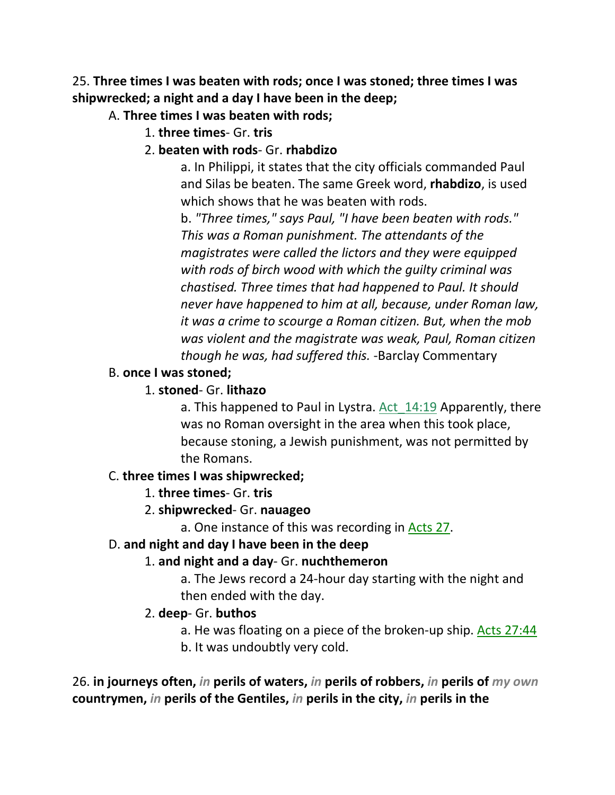25. **Three times I was beaten with rods; once I was stoned; three times I was shipwrecked; a night and a day I have been in the deep;** 

## A. **Three times I was beaten with rods;**

- 1. **three times** Gr. **tris**
- 2. **beaten with rods** Gr. **rhabdizo**

a. In Philippi, it states that the city officials commanded Paul and Silas be beaten. The same Greek word, **rhabdizo**, is used which shows that he was beaten with rods.

b. *"Three times," says Paul, "I have been beaten with rods." This was a Roman punishment. The attendants of the magistrates were called the lictors and they were equipped with rods of birch wood with which the guilty criminal was chastised. Three times that had happened to Paul. It should never have happened to him at all, because, under Roman law, it was a crime to scourge a Roman citizen. But, when the mob was violent and the magistrate was weak, Paul, Roman citizen though he was, had suffered this.* -Barclay Commentary

#### B. **once I was stoned;**

### 1. **stoned**- Gr. **lithazo**

a. This happened to Paul in Lystra.  $Act 14:19$  Apparently, there was no Roman oversight in the area when this took place, because stoning, a Jewish punishment, was not permitted by the Romans.

### C. **three times I was shipwrecked;**

- 1. **three times** Gr. **tris**
- 2. **shipwrecked** Gr. **nauageo**
	- a. One instance of this was recording in Acts 27.

### D. **and night and day I have been in the deep**

#### 1. **and night and a day**- Gr. **nuchthemeron**

a. The Jews record a 24-hour day starting with the night and then ended with the day.

### 2. **deep**- Gr. **buthos**

- a. He was floating on a piece of the broken-up ship. Acts 27:44
- b. It was undoubtly very cold.

26. **in journeys often,** *in* **perils of waters,** *in* **perils of robbers,** *in* **perils of** *my own* **countrymen,** *in* **perils of the Gentiles,** *in* **perils in the city,** *in* **perils in the**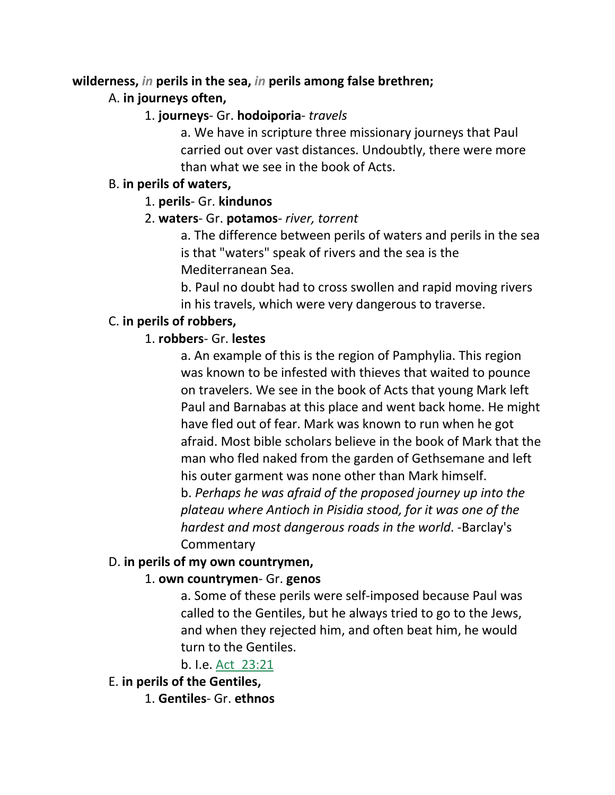#### **wilderness,** *in* **perils in the sea,** *in* **perils among false brethren;**

### A. **in journeys often,**

#### 1. **journeys**- Gr. **hodoiporia**- *travels*

a. We have in scripture three missionary journeys that Paul carried out over vast distances. Undoubtly, there were more than what we see in the book of Acts.

#### B. **in perils of waters,**

#### 1. **perils**- Gr. **kindunos**

### 2. **waters**- Gr. **potamos**- *river, torrent*

a. The difference between perils of waters and perils in the sea is that "waters" speak of rivers and the sea is the Mediterranean Sea.

b. Paul no doubt had to cross swollen and rapid moving rivers in his travels, which were very dangerous to traverse.

#### C. **in perils of robbers,**

### 1. **robbers**- Gr. **lestes**

a. An example of this is the region of Pamphylia. This region was known to be infested with thieves that waited to pounce on travelers. We see in the book of Acts that young Mark left Paul and Barnabas at this place and went back home. He might have fled out of fear. Mark was known to run when he got afraid. Most bible scholars believe in the book of Mark that the man who fled naked from the garden of Gethsemane and left his outer garment was none other than Mark himself.

b. *Perhaps he was afraid of the proposed journey up into the plateau where Antioch in Pisidia stood, for it was one of the hardest and most dangerous roads in the world*. -Barclay's **Commentary** 

#### D. **in perils of my own countrymen,**

### 1. **own countrymen**- Gr. **genos**

a. Some of these perils were self-imposed because Paul was called to the Gentiles, but he always tried to go to the Jews, and when they rejected him, and often beat him, he would turn to the Gentiles.

#### b. I.e. Act\_23:21

### E. **in perils of the Gentiles,**

1. **Gentiles**- Gr. **ethnos**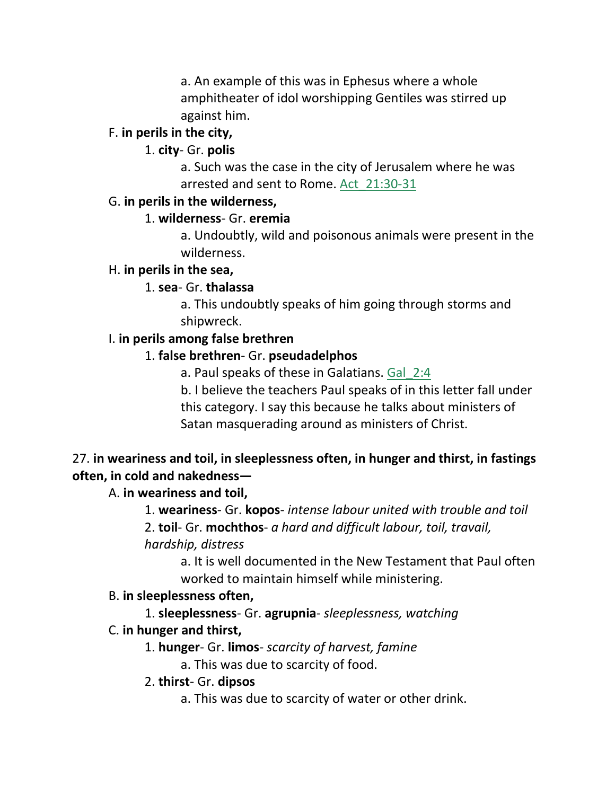a. An example of this was in Ephesus where a whole amphitheater of idol worshipping Gentiles was stirred up against him.

#### F. **in perils in the city,**

#### 1. **city**- Gr. **polis**

a. Such was the case in the city of Jerusalem where he was arrested and sent to Rome. Act\_21:30-31

#### G. **in perils in the wilderness,**

#### 1. **wilderness**- Gr. **eremia**

a. Undoubtly, wild and poisonous animals were present in the wilderness.

#### H. **in perils in the sea,**

#### 1. **sea**- Gr. **thalassa**

a. This undoubtly speaks of him going through storms and shipwreck.

#### I. **in perils among false brethren**

#### 1. **false brethren**- Gr. **pseudadelphos**

a. Paul speaks of these in Galatians. Gal\_2:4

b. I believe the teachers Paul speaks of in this letter fall under this category. I say this because he talks about ministers of Satan masquerading around as ministers of Christ.

# 27. **in weariness and toil, in sleeplessness often, in hunger and thirst, in fastings often, in cold and nakedness—**

### A. **in weariness and toil,**

1. **weariness**- Gr. **kopos**- *intense labour united with trouble and toil* 2. **toil**- Gr. **mochthos**- *a hard and difficult labour, toil, travail, hardship, distress*

a. It is well documented in the New Testament that Paul often worked to maintain himself while ministering.

#### B. **in sleeplessness often,**

1. **sleeplessness**- Gr. **agrupnia**- *sleeplessness, watching*

#### C. **in hunger and thirst,**

1. **hunger**- Gr. **limos**- *scarcity of harvest, famine*

a. This was due to scarcity of food.

#### 2. **thirst**- Gr. **dipsos**

a. This was due to scarcity of water or other drink.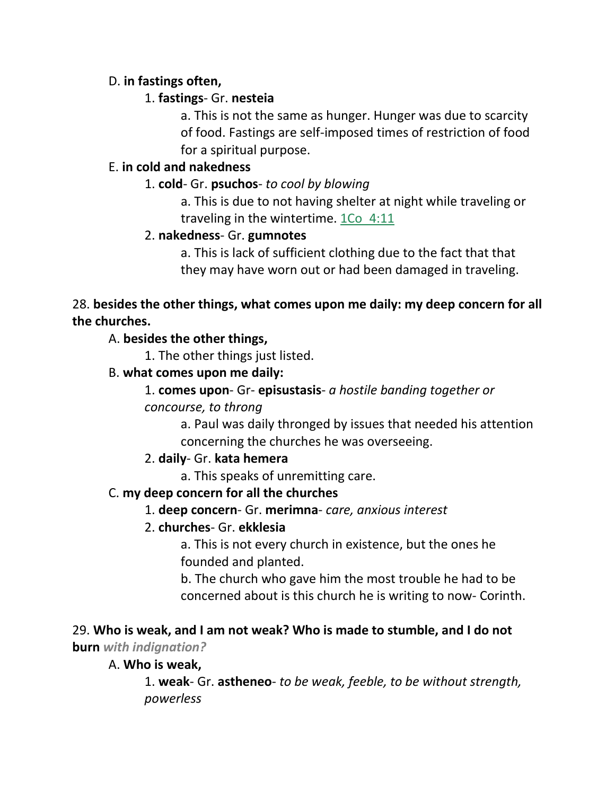### D. **in fastings often,**

## 1. **fastings**- Gr. **nesteia**

a. This is not the same as hunger. Hunger was due to scarcity of food. Fastings are self-imposed times of restriction of food for a spiritual purpose.

# E. **in cold and nakedness**

1. **cold**- Gr. **psuchos**- *to cool by blowing*

a. This is due to not having shelter at night while traveling or traveling in the wintertime. 1Co\_4:11

# 2. **nakedness**- Gr. **gumnotes**

a. This is lack of sufficient clothing due to the fact that that they may have worn out or had been damaged in traveling.

# 28. **besides the other things, what comes upon me daily: my deep concern for all the churches.**

# A. **besides the other things,**

1. The other things just listed.

### B. **what comes upon me daily:**

### 1. **comes upon**- Gr- **episustasis**- *a hostile banding together or concourse, to throng*

a. Paul was daily thronged by issues that needed his attention concerning the churches he was overseeing.

### 2. **daily**- Gr. **kata hemera**

a. This speaks of unremitting care.

# C. **my deep concern for all the churches**

1. **deep concern**- Gr. **merimna**- *care, anxious interest*

# 2. **churches**- Gr. **ekklesia**

a. This is not every church in existence, but the ones he founded and planted.

b. The church who gave him the most trouble he had to be concerned about is this church he is writing to now- Corinth.

# 29. **Who is weak, and I am not weak? Who is made to stumble, and I do not**

**burn** *with indignation?*

### A. **Who is weak,**

1. **weak**- Gr. **astheneo**- *to be weak, feeble, to be without strength, powerless*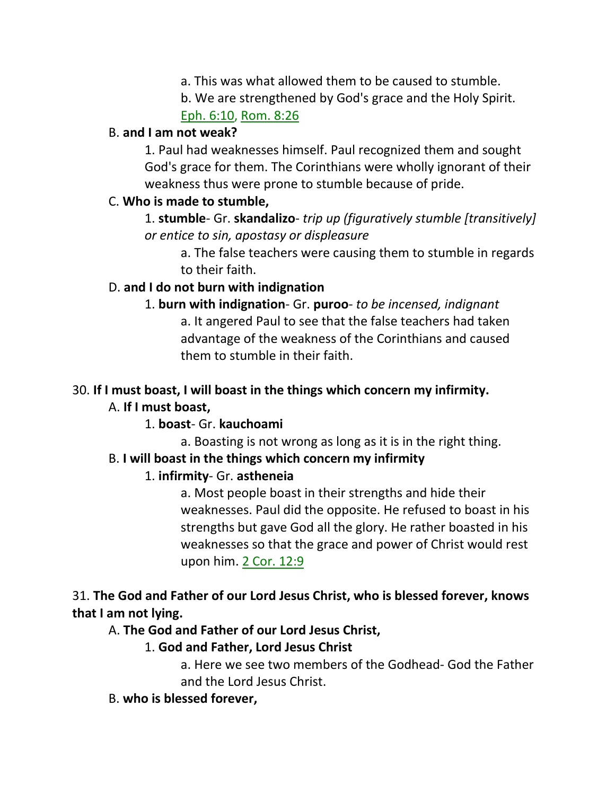a. This was what allowed them to be caused to stumble.

b. We are strengthened by God's grace and the Holy Spirit.

### Eph. 6:10, Rom. 8:26

#### B. **and I am not weak?**

1. Paul had weaknesses himself. Paul recognized them and sought God's grace for them. The Corinthians were wholly ignorant of their weakness thus were prone to stumble because of pride.

### C. **Who is made to stumble,**

1. **stumble**- Gr. **skandalizo**- *trip up (figuratively stumble [transitively] or entice to sin, apostasy or displeasure*

a. The false teachers were causing them to stumble in regards to their faith.

### D. **and I do not burn with indignation**

### 1. **burn with indignation**- Gr. **puroo**- *to be incensed, indignant* a. It angered Paul to see that the false teachers had taken advantage of the weakness of the Corinthians and caused them to stumble in their faith.

# 30. **If I must boast, I will boast in the things which concern my infirmity.**

# A. **If I must boast,**

# 1. **boast**- Gr. **kauchoami**

a. Boasting is not wrong as long as it is in the right thing.

### B. **I will boast in the things which concern my infirmity**

# 1. **infirmity**- Gr. **astheneia**

a. Most people boast in their strengths and hide their weaknesses. Paul did the opposite. He refused to boast in his strengths but gave God all the glory. He rather boasted in his weaknesses so that the grace and power of Christ would rest upon him. 2 Cor. 12:9

# 31. **The God and Father of our Lord Jesus Christ, who is blessed forever, knows that I am not lying.**

# A. **The God and Father of our Lord Jesus Christ,**

# 1. **God and Father, Lord Jesus Christ**

a. Here we see two members of the Godhead- God the Father and the Lord Jesus Christ.

### B. **who is blessed forever,**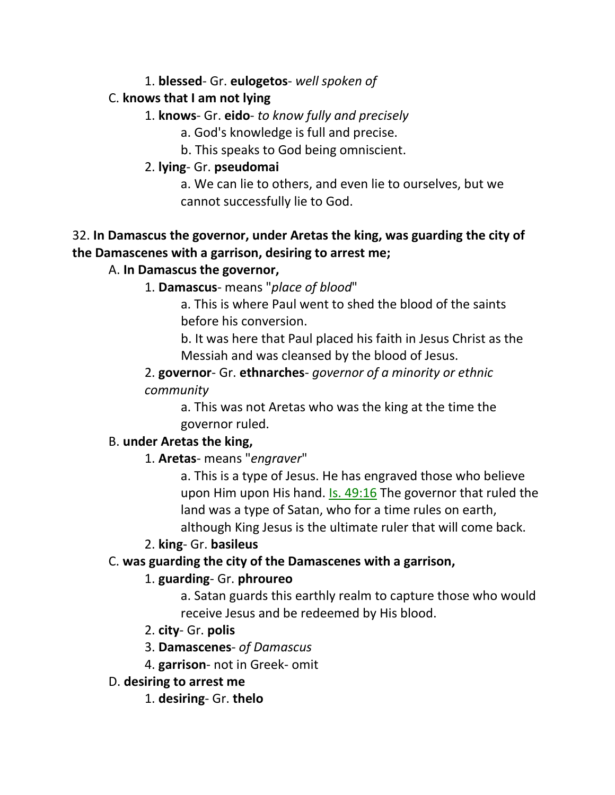#### 1. **blessed**- Gr. **eulogetos**- *well spoken of*

#### C. **knows that I am not lying**

#### 1. **knows**- Gr. **eido**- *to know fully and precisely*

- a. God's knowledge is full and precise.
- b. This speaks to God being omniscient.

### 2. **lying**- Gr. **pseudomai**

a. We can lie to others, and even lie to ourselves, but we cannot successfully lie to God.

# 32. **In Damascus the governor, under Aretas the king, was guarding the city of the Damascenes with a garrison, desiring to arrest me;**

# A. **In Damascus the governor,**

1. **Damascus**- means "*place of blood*"

a. This is where Paul went to shed the blood of the saints before his conversion.

b. It was here that Paul placed his faith in Jesus Christ as the Messiah and was cleansed by the blood of Jesus.

# 2. **governor**- Gr. **ethnarches**- *governor of a minority or ethnic community*

a. This was not Aretas who was the king at the time the governor ruled.

### B. **under Aretas the king,**

### 1. **Aretas**- means "*engraver*"

a. This is a type of Jesus. He has engraved those who believe upon Him upon His hand. Is. 49:16 The governor that ruled the land was a type of Satan, who for a time rules on earth, although King Jesus is the ultimate ruler that will come back.

### 2. **king**- Gr. **basileus**

### C. **was guarding the city of the Damascenes with a garrison,**

### 1. **guarding**- Gr. **phroureo**

a. Satan guards this earthly realm to capture those who would receive Jesus and be redeemed by His blood.

### 2. **city**- Gr. **polis**

- 3. **Damascenes** *of Damascus*
- 4. **garrison** not in Greek- omit

#### D. **desiring to arrest me**

1. **desiring**- Gr. **thelo**